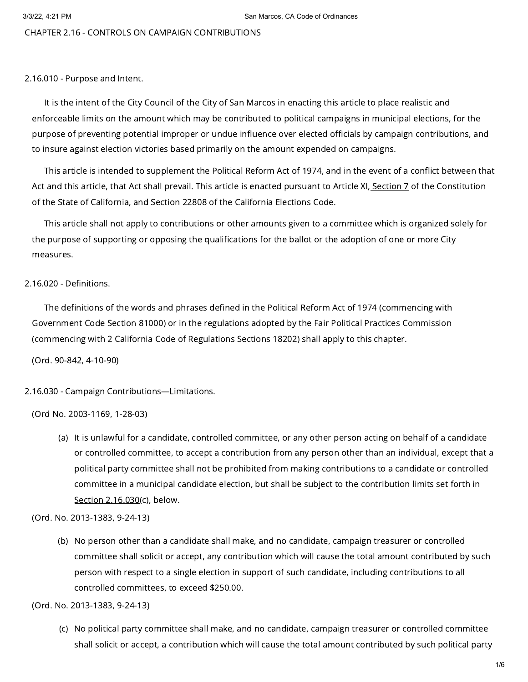# CHAPTER 2.16 - CONTROLS ON CAMPAIGN CONTRIBUTIONS

### 2.16.010 - Purpose and Intent.

It is the intent of the City Council of the City of San Marcos in enacting this article to place realistic and enforceable limits on the amount which may be contributed to political campaigns in municipal elections, for the purpose of preventing potential improper or undue influence over elected officials by campaign contributions, and to insure against election victories based primarily on the amount expended on campaigns.

This article is intended to supplement the Political Reform Act of 1974, and in the event of a conflict between that Act and this article, that Act shall prevail. This article is enacted pursuant to Article XI, [Section](https://library.municode.com/) 7 of the Constitution of the State of California, and Section 22808 of the California Elections Code.

This article shall not apply to contributions or other amounts given to a committee which is organized solely for the purpose of supporting or opposing the qualifications for the ballot or the adoption of one or more City measures.

# 2.16.020 - Definitions.

The definitions of the words and phrases defined in the Political Reform Act of 1974 (commencing with Government Code Section 81000) or in the regulations adopted by the Fair Political Practices Commission (commencing with 2 California Code of Regulations Sections 18202) shall apply to this chapter.

(Ord. 90-842, 4-10-90)

2.16.030 - Campaign Contributions—Limitations.

(Ord No. 2003-1169, 1-28-03)

(a) It is unlawful for a candidate, controlled committee, or any other person acting on behalf of a candidate or controlled committee, to accept a contribution from any person other than an individual, except that a political party committee shall not be prohibited from making contributions to a candidate or controlled committee in a municipal candidate election, but shall be subject to the contribution limits set forth in Section [2.16.030](https://library.municode.com/)(c), below.

(Ord. No. 2013-1383, 9-24-13)

(b) No person other than a candidate shall make, and no candidate, campaign treasurer or controlled committee shall solicit or accept, any contribution which will cause the total amount contributed by such person with respect to a single election in support of such candidate, including contributions to all controlled committees, to exceed \$250.00.

(Ord. No. 2013-1383, 9-24-13)

(c) No political party committee shall make, and no candidate, campaign treasurer or controlled committee shall solicit or accept, a contribution which will cause the total amount contributed by such political party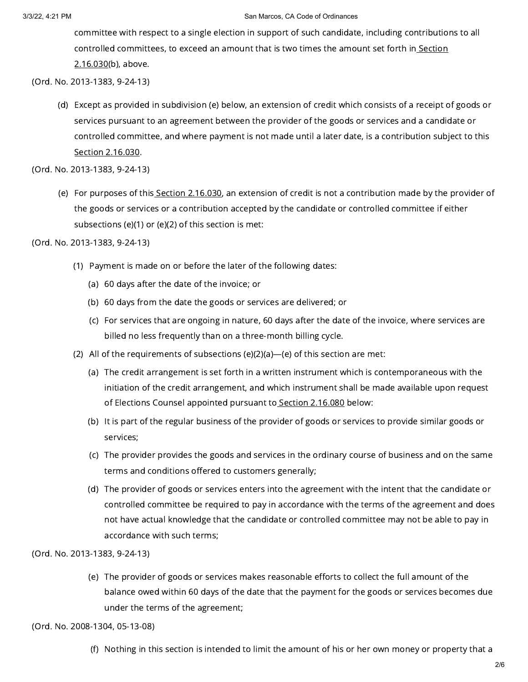committee with respect to a single election in support of such candidate, including contributions to all controlled [committees,](https://library.municode.com/) to exceed an amount that is two times the amount set forth in Section 2.16.030(b), above.

(Ord. No. 2013-1383, 9-24-13)

(d) Except as provided in subdivision (e) below, an extension of credit which consists of a receipt of goods or services pursuant to an agreement between the provider of the goods or services and a candidate or controlled committee, and where payment is not made until a later date, is a contribution subject to this Section [2.16.030](https://library.municode.com/).

(Ord. No. 2013-1383, 9-24-13)

(e) For purposes of this<u> Section [2.16.030](https://library.municode.com/)</u>, an extension of credit is not a contribution made by the provider of the goods or services or a contribution accepted by the candidate or controlled committee if either subsections (e)(1) or (e)(2) of this section is met:

(Ord. No. 2013-1383, 9-24-13)

- (1) Payment is made on or before the later of the following dates:
	- (a) 60 days after the date of the invoice; or
	- (b) 60 days from the date the goods or services are delivered; or
	- (c) For services that are ongoing in nature, 60 days after the date of the invoice, where services are billed no less frequently than on a three-month billing cycle.
- (2) All of the requirements of subsections (e)(2)(a)—(e) of this section are met:
	- (a) The credit arrangement is set forth in a written instrument which is contemporaneous with the initiation of the credit arrangement, and which instrument shall be made available upon request of Elections Counsel appointed pursuant to Section [2.16.080](https://library.municode.com/) below:
	- (b) It is part of the regular business of the provider of goods or services to provide similar goods or services;
	- (c) The provider provides the goods and services in the ordinary course of business and on the same terms and conditions offered to customers generally;
	- (d) The provider of goods or services enters into the agreement with the intent that the candidate or controlled committee be required to pay in accordance with the terms of the agreement and does not have actual knowledge that the candidate or controlled committee may not be able to pay in accordance with such terms;

(Ord. No. 2013-1383, 9-24-13)

(e) The provider of goods or services makes reasonable efforts to collect the full amount of the balance owed within 60 days of the date that the payment for the goods or services becomes due under the terms of the agreement;

(Ord. No. 2008-1304, 05-13-08)

(f) Nothing in this section is intended to limit the amount of his or her own money or property that a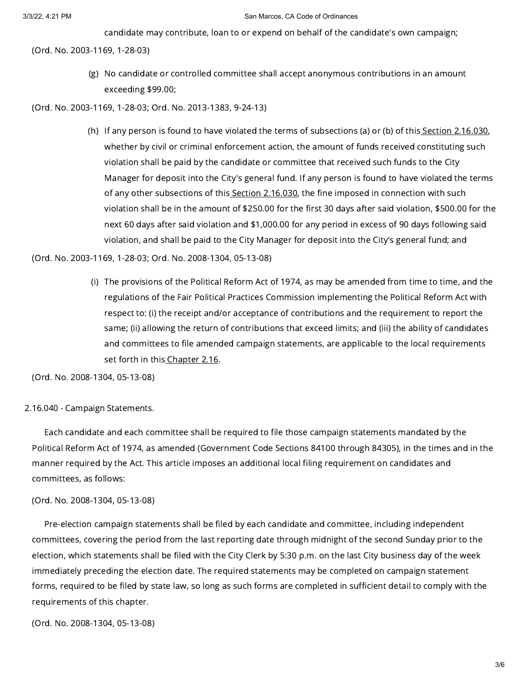candidate may contribute, loan to or expend on behalf of the candidate's own campaign;

(Ord. No. 2003-1169, 1-28-03)

(g) No candidate or controlled committee shall accept anonymous contributions in an amount exceeding \$99.00;

(Ord. No. 2003-1169, 1-28-03; Ord. No. 2013-1383, 9-24-13)

(h) If any person is found to have violated the terms of subsections (a) or (b) of this<u> Section 2.16.030</u>, whether by civil or criminal enforcement action, the amount of funds received constituting such violation shall be paid by the candidate or committee that received such funds to the City Manager for deposit into the City's general fund. If any person is found to have violated the terms of any other subsections of this Section [2.16.030](https://library.municode.com/), the fine imposed in connection with such violation shall be in the amount of \$250.00 for the first 30 days after said violation, \$500.00 for the next 60 days after said violation and \$1,000.00 for any period in excess of 90 days following said violation, and shall be paid to the City Manager for deposit into the City's general fund; and

(Ord. No. 2003-1169, 1-28-03; Ord. No. 2008-1304, 05-13-08)

(i) The provisions of the Political Reform Act of 1974, as may be amended from time to time, and the regulations of the Fair Political Practices Commission implementing the Political Reform Act with respect to: (i) the receipt and/or acceptance of contributions and the requirement to report the same; (ii) allowing the return of contributions that exceed limits; and (iii) the ability of candidates and committees to file amended campaign statements, are applicable to the local requirements set forth in this [Chapter](https://library.municode.com/) 2.16.

(Ord. No. 2008-1304, 05-13-08)

2.16.040 - Campaign Statements.

Each candidate and each committee shall be required to file those campaign statements mandated by the Political Reform Act of 1974, as amended (Government Code Sections 84100 through 84305), in the times and in the manner required by the Act. This article imposes an additional local filing requirement on candidates and committees, as follows:

### (Ord. No. 2008-1304, 05-13-08)

Pre-election campaign statements shall be filed by each candidate and committee, including independent committees, covering the period from the last reporting date through midnight of the second Sunday prior to the election, which statements shall be filed with the City Clerk by 5:30 p.m. on the last City business day of the week immediately preceding the election date. The required statements may be completed on campaign statement forms, required to be filed by state law, so long as such forms are completed in sufficient detail to comply with the requirements of this chapter.

(Ord. No. 2008-1304, 05-13-08)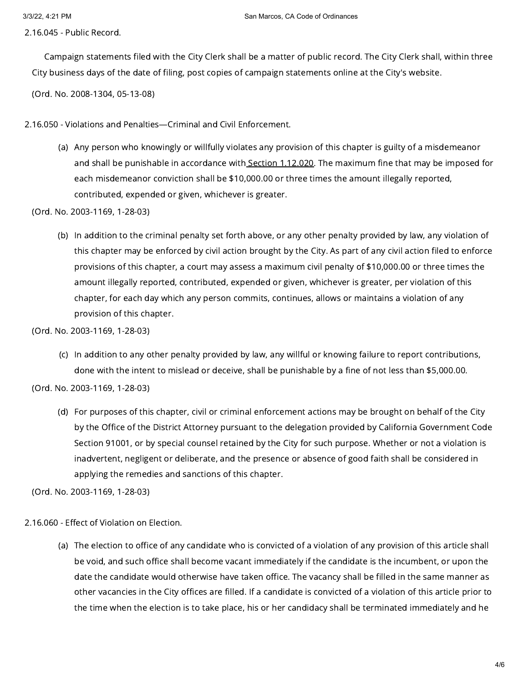2.16.045 - Public Record.

Campaign statements filed with the City Clerk shall be a matter of public record. The City Clerk shall, within three City business days of the date of filing, post copies of campaign statements online at the City's website.

(Ord. No. 2008-1304, 05-13-08)

2.16.050 - Violations and Penalties—Criminal and Civil Enforcement.

(a) Any person who knowingly or willfully violates any provision of this chapter is guilty of a misdemeanor and shall be punishable in accordance with Section [1.12.020](https://library.municode.com/). The maximum fine that may be imposed for each misdemeanor conviction shall be \$10,000.00 or three times the amount illegally reported, contributed, expended or given, whichever is greater.

(Ord. No. 2003-1169, 1-28-03)

(b) In addition to the criminal penalty set forth above, or any other penalty provided by law, any violation of this chapter may be enforced by civil action brought by the City. As part of any civil action filed to enforce provisions of this chapter, a court may assess a maximum civil penalty of \$10,000.00 or three times the amount illegally reported, contributed, expended or given, whichever is greater, per violation of this chapter, for each day which any person commits, continues, allows or maintains a violation of any provision of this chapter.

(Ord. No. 2003-1169, 1-28-03)

(c) In addition to any other penalty provided by law, any willful or knowing failure to report contributions, done with the intent to mislead or deceive, shall be punishable by a fine of not less than \$5,000.00.

(Ord. No. 2003-1169, 1-28-03)

(d) For purposes of this chapter, civil or criminal enforcement actions may be brought on behalf of the City by the Office of the District Attorney pursuant to the delegation provided by California Government Code Section 91001, or by special counsel retained by the City for such purpose. Whether or not a violation is inadvertent, negligent or deliberate, and the presence or absence of good faith shall be considered in applying the remedies and sanctions of this chapter.

(Ord. No. 2003-1169, 1-28-03)

2.16.060 - Effect of Violation on Election.

(a) The election to office of any candidate who is convicted of a violation of any provision of this article shall be void, and such office shall become vacant immediately if the candidate is the incumbent, or upon the date the candidate would otherwise have taken office. The vacancy shall be filled in the same manner as other vacancies in the City offices are filled. If a candidate is convicted of a violation of this article prior to the time when the election is to take place, his or her candidacy shall be terminated immediately and he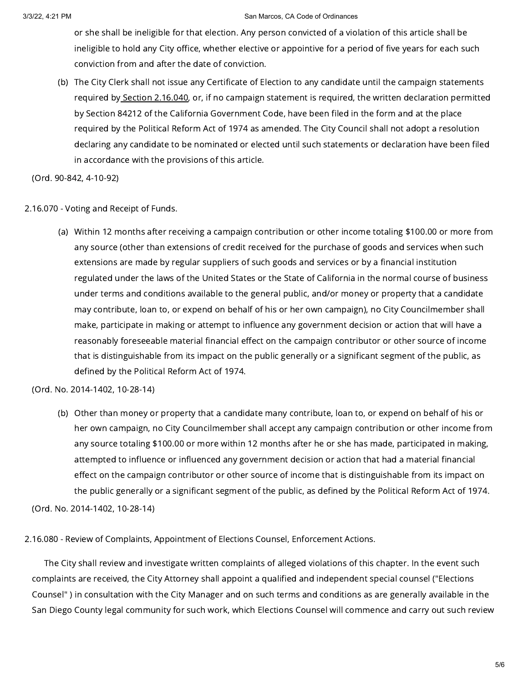or she shall be ineligible for that election. Any person convicted of a violation of this article shall be ineligible to hold any City office, whether elective or appointive for a period of five years for each such conviction from and after the date of conviction.

(b) The City Clerk shall not issue any Certificate of Election to any candidate until the campaign statements required by Section [2.16.040,](https://library.municode.com/) or, if no campaign statement is required, the written declaration permitted by Section 84212 of the California Government Code, have been filed in the form and at the place required by the Political Reform Act of 1974 as amended. The City Council shall not adopt a resolution declaring any candidate to be nominated or elected until such statements or declaration have been filed in accordance with the provisions of this article.

(Ord. 90-842, 4-10-92)

### 2.16.070 - Voting and Receipt of Funds.

(a) Within 12 months after receiving a campaign contribution or other income totaling \$100.00 or more from any source (other than extensions of credit received for the purchase of goods and services when such extensions are made by regular suppliers of such goods and services or by a financial institution regulated under the laws of the United States or the State of California in the normal course of business under terms and conditions available to the general public, and/or money or property that a candidate may contribute, loan to, or expend on behalf of his or her own campaign), no City Councilmember shall make, participate in making or attempt to influence any government decision or action that will have a reasonably foreseeable material financial effect on the campaign contributor or other source of income that is distinguishable from its impact on the public generally or a significant segment of the public, as defined by the Political Reform Act of 1974.

# (Ord. No. 2014-1402, 10-28-14)

(b) Other than money or property that a candidate many contribute, loan to, or expend on behalf of his or her own campaign, no City Councilmember shall accept any campaign contribution or other income from any source totaling \$100.00 or more within 12 months after he or she has made, participated in making, attempted to influence or influenced any government decision or action that had a material financial effect on the campaign contributor or other source of income that is distinguishable from its impact on the public generally or a significant segment of the public, as defined by the Political Reform Act of 1974.

(Ord. No. 2014-1402, 10-28-14)

### 2.16.080 - Review of Complaints, Appointment of Elections Counsel, Enforcement Actions.

The City shall review and investigate written complaints of alleged violations of this chapter. In the event such complaints are received, the City Attorney shall appoint a qualified and independent special counsel ("Elections Counsel" ) in consultation with the City Manager and on such terms and conditions as are generally available in the San Diego County legal community for such work, which Elections Counsel will commence and carry out such review